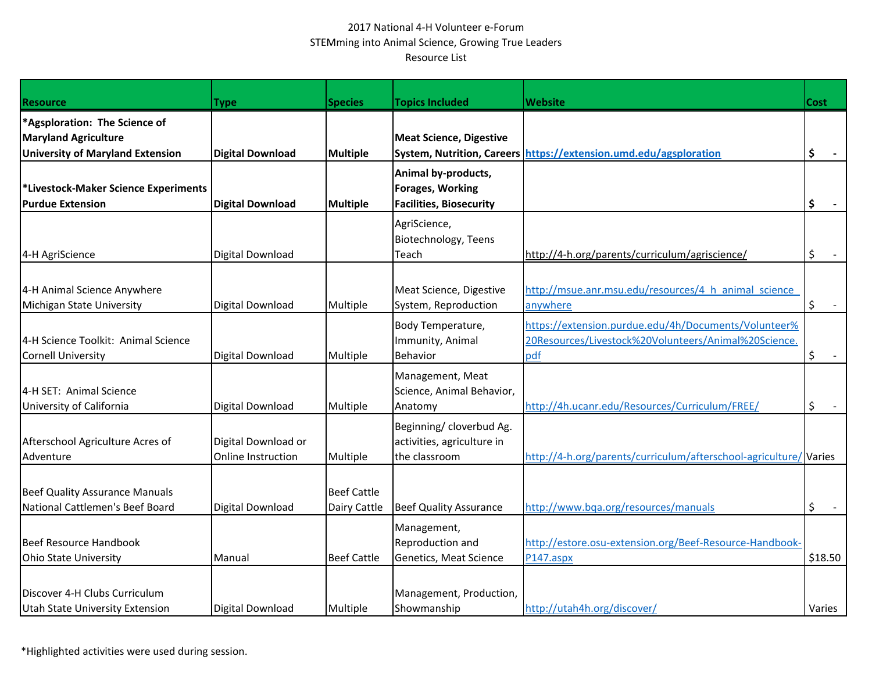## 2017 National 4-H Volunteer e-Forum STEMming into Animal Science, Growing True Leaders Resource List

| <b>Resource</b>                                                          | Type                                      | <b>Species</b>                     | <b>Topics Included</b>                                                           | <b>Website</b>                                                                                                      | <b>Cost</b> |
|--------------------------------------------------------------------------|-------------------------------------------|------------------------------------|----------------------------------------------------------------------------------|---------------------------------------------------------------------------------------------------------------------|-------------|
| *Agsploration: The Science of                                            |                                           |                                    |                                                                                  |                                                                                                                     |             |
| <b>Maryland Agriculture</b>                                              |                                           |                                    | <b>Meat Science, Digestive</b>                                                   |                                                                                                                     |             |
| <b>University of Maryland Extension</b>                                  | <b>Digital Download</b>                   | <b>Multiple</b>                    |                                                                                  | System, Nutrition, Careers https://extension.umd.edu/agsploration                                                   | \$          |
| *Livestock-Maker Science Experiments<br><b>Purdue Extension</b>          | <b>Digital Download</b>                   | <b>Multiple</b>                    | Animal by-products,<br><b>Forages, Working</b><br><b>Facilities, Biosecurity</b> |                                                                                                                     | \$          |
|                                                                          |                                           |                                    | AgriScience,<br>Biotechnology, Teens                                             |                                                                                                                     |             |
| 4-H AgriScience                                                          | Digital Download                          |                                    | Teach                                                                            | http://4-h.org/parents/curriculum/agriscience/                                                                      | \$          |
| 4-H Animal Science Anywhere<br>Michigan State University                 | Digital Download                          | Multiple                           | Meat Science, Digestive<br>System, Reproduction                                  | http://msue.anr.msu.edu/resources/4 h animal science<br>anywhere                                                    | $\zeta$     |
| 4-H Science Toolkit: Animal Science<br><b>Cornell University</b>         | Digital Download                          | Multiple                           | Body Temperature,<br>Immunity, Animal<br>Behavior                                | https://extension.purdue.edu/4h/Documents/Volunteer%<br>20Resources/Livestock%20Volunteers/Animal%20Science.<br>pdf | \$          |
| 4-H SET: Animal Science<br>University of California                      | Digital Download                          | Multiple                           | Management, Meat<br>Science, Animal Behavior,<br>Anatomy                         | http://4h.ucanr.edu/Resources/Curriculum/FREE/                                                                      | \$          |
| Afterschool Agriculture Acres of<br>Adventure                            | Digital Download or<br>Online Instruction | Multiple                           | Beginning/ cloverbud Ag.<br>activities, agriculture in<br>the classroom          | http://4-h.org/parents/curriculum/afterschool-agriculture/Varies                                                    |             |
| <b>Beef Quality Assurance Manuals</b><br>National Cattlemen's Beef Board | Digital Download                          | <b>Beef Cattle</b><br>Dairy Cattle | <b>Beef Quality Assurance</b>                                                    | http://www.bqa.org/resources/manuals                                                                                | \$          |
| <b>Beef Resource Handbook</b><br><b>Ohio State University</b>            | Manual                                    | <b>Beef Cattle</b>                 | Management,<br>Reproduction and<br>Genetics, Meat Science                        | http://estore.osu-extension.org/Beef-Resource-Handbook-<br>P147.aspx                                                | \$18.50     |
| Discover 4-H Clubs Curriculum<br>Utah State University Extension         | Digital Download                          | Multiple                           | Management, Production,<br>Showmanship                                           | http://utah4h.org/discover/                                                                                         | Varies      |

\*Highlighted activities were used during session.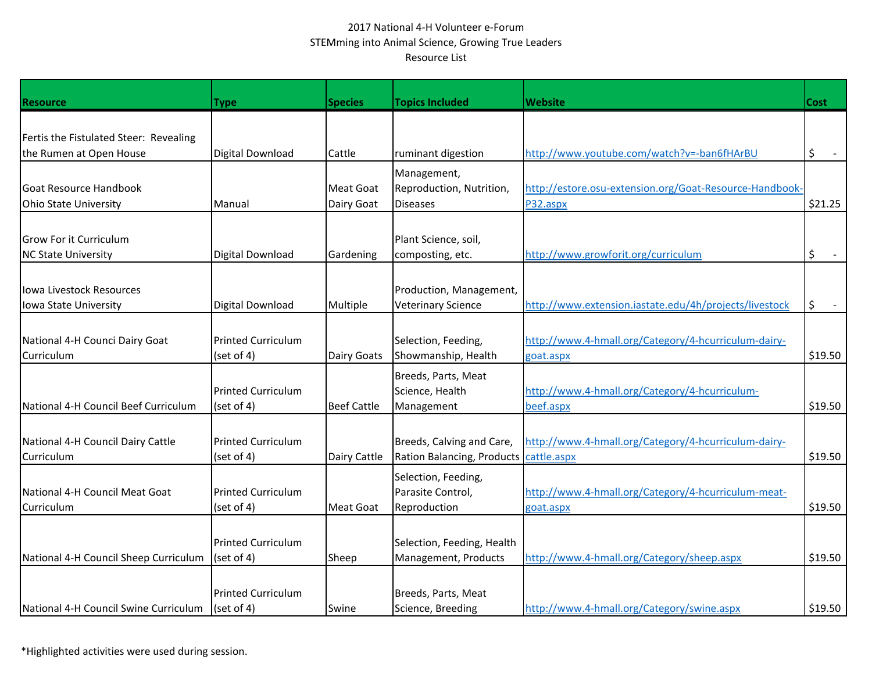## 2017 National 4-H Volunteer e-Forum STEMming into Animal Science, Growing True Leaders Resource List

| <b>Resource</b>                        | <b>Type</b>               | <b>Species</b>     | <b>Topics Included</b>     | <b>Website</b>                                          | Cost    |
|----------------------------------------|---------------------------|--------------------|----------------------------|---------------------------------------------------------|---------|
|                                        |                           |                    |                            |                                                         |         |
| Fertis the Fistulated Steer: Revealing |                           |                    |                            |                                                         |         |
| the Rumen at Open House                | Digital Download          | Cattle             | ruminant digestion         | http://www.youtube.com/watch?v=-ban6fHArBU              | \$      |
|                                        |                           |                    | Management,                |                                                         |         |
| Goat Resource Handbook                 |                           | <b>Meat Goat</b>   | Reproduction, Nutrition,   | http://estore.osu-extension.org/Goat-Resource-Handbook- |         |
| Ohio State University                  | Manual                    | Dairy Goat         | <b>Diseases</b>            | P32.aspx                                                | \$21.25 |
|                                        |                           |                    |                            |                                                         |         |
| <b>I</b> Grow For it Curriculum        |                           |                    | Plant Science, soil,       |                                                         |         |
| <b>NC State University</b>             | Digital Download          | Gardening          | composting, etc.           | http://www.growforit.org/curriculum                     | \$      |
|                                        |                           |                    |                            |                                                         |         |
| lowa Livestock Resources               |                           |                    | Production, Management,    |                                                         |         |
| lowa State University                  | Digital Download          | Multiple           | <b>Veterinary Science</b>  | http://www.extension.iastate.edu/4h/projects/livestock  | \$      |
|                                        |                           |                    |                            |                                                         |         |
|                                        |                           |                    |                            |                                                         |         |
| National 4-H Counci Dairy Goat         | <b>Printed Curriculum</b> |                    | Selection, Feeding,        | http://www.4-hmall.org/Category/4-hcurriculum-dairy-    |         |
| <b>Curriculum</b>                      | (set of 4)                | Dairy Goats        | Showmanship, Health        | goat.aspx                                               | \$19.50 |
|                                        |                           |                    | Breeds, Parts, Meat        |                                                         |         |
|                                        | <b>Printed Curriculum</b> |                    | Science, Health            | http://www.4-hmall.org/Category/4-hcurriculum-          |         |
| National 4-H Council Beef Curriculum   | (set of 4)                | <b>Beef Cattle</b> | Management                 | beef.aspx                                               | \$19.50 |
|                                        |                           |                    |                            |                                                         |         |
| National 4-H Council Dairy Cattle      | <b>Printed Curriculum</b> |                    | Breeds, Calving and Care,  | http://www.4-hmall.org/Category/4-hcurriculum-dairy-    |         |
| Curriculum                             | (set of 4)                | Dairy Cattle       | Ration Balancing, Products | cattle.aspx                                             | \$19.50 |
|                                        |                           |                    | Selection, Feeding,        |                                                         |         |
| National 4-H Council Meat Goat         | <b>Printed Curriculum</b> |                    | Parasite Control,          | http://www.4-hmall.org/Category/4-hcurriculum-meat-     |         |
| Curriculum                             | (set of 4)                | Meat Goat          | Reproduction               | goat.aspx                                               | \$19.50 |
|                                        |                           |                    |                            |                                                         |         |
|                                        | <b>Printed Curriculum</b> |                    | Selection, Feeding, Health |                                                         |         |
| National 4-H Council Sheep Curriculum  | (set of 4)                | Sheep              | Management, Products       | http://www.4-hmall.org/Category/sheep.aspx              | \$19.50 |
|                                        |                           |                    |                            |                                                         |         |
|                                        | <b>Printed Curriculum</b> |                    | Breeds, Parts, Meat        |                                                         |         |
| National 4-H Council Swine Curriculum  | (set of 4)                | Swine              | Science, Breeding          | http://www.4-hmall.org/Category/swine.aspx              | \$19.50 |
|                                        |                           |                    |                            |                                                         |         |